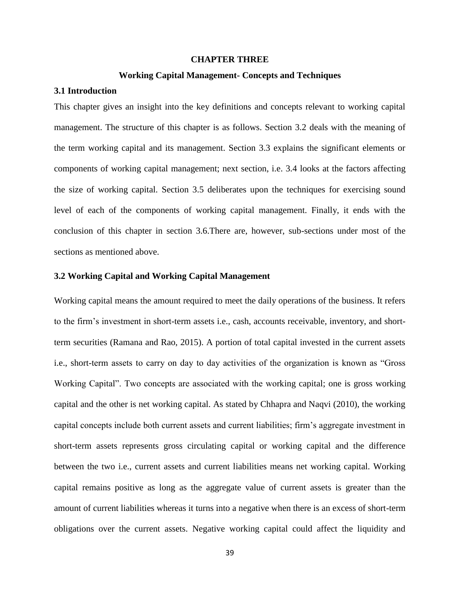## **CHAPTER THREE**

#### **Working Capital Management- Concepts and Techniques**

# **3.1 Introduction**

This chapter gives an insight into the key definitions and concepts relevant to working capital management. The structure of this chapter is as follows. Section 3.2 deals with the meaning of the term working capital and its management. Section 3.3 explains the significant elements or components of working capital management; next section, i.e. 3.4 looks at the factors affecting the size of working capital. Section 3.5 deliberates upon the techniques for exercising sound level of each of the components of working capital management. Finally, it ends with the conclusion of this chapter in section 3.6.There are, however, sub-sections under most of the sections as mentioned above.

## **3.2 Working Capital and Working Capital Management**

Working capital means the amount required to meet the daily operations of the business. It refers to the firm's investment in short-term assets i.e., cash, accounts receivable, inventory, and shortterm securities (Ramana and Rao, 2015). A portion of total capital invested in the current assets i.e., short-term assets to carry on day to day activities of the organization is known as "Gross Working Capital". Two concepts are associated with the working capital; one is gross working capital and the other is net working capital. As stated by Chhapra and Naqvi (2010), the working capital concepts include both current assets and current liabilities; firm's aggregate investment in short-term assets represents gross circulating capital or working capital and the difference between the two i.e., current assets and current liabilities means net working capital. Working capital remains positive as long as the aggregate value of current assets is greater than the amount of current liabilities whereas it turns into a negative when there is an excess of short-term obligations over the current assets. Negative working capital could affect the liquidity and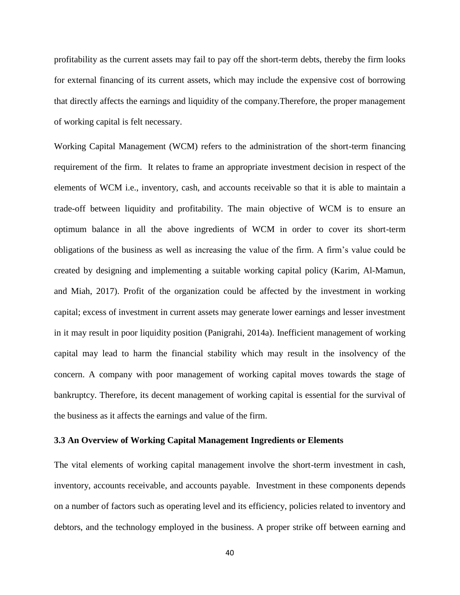profitability as the current assets may fail to pay off the short-term debts, thereby the firm looks for external financing of its current assets, which may include the expensive cost of borrowing that directly affects the earnings and liquidity of the company.Therefore, the proper management of working capital is felt necessary.

Working Capital Management (WCM) refers to the administration of the short-term financing requirement of the firm. It relates to frame an appropriate investment decision in respect of the elements of WCM i.e., inventory, cash, and accounts receivable so that it is able to maintain a trade-off between liquidity and profitability. The main objective of WCM is to ensure an optimum balance in all the above ingredients of WCM in order to cover its short-term obligations of the business as well as increasing the value of the firm. A firm's value could be created by designing and implementing a suitable working capital policy (Karim, Al-Mamun, and Miah, 2017). Profit of the organization could be affected by the investment in working capital; excess of investment in current assets may generate lower earnings and lesser investment in it may result in poor liquidity position (Panigrahi, 2014a). Inefficient management of working capital may lead to harm the financial stability which may result in the insolvency of the concern. A company with poor management of working capital moves towards the stage of bankruptcy. Therefore, its decent management of working capital is essential for the survival of the business as it affects the earnings and value of the firm.

## **3.3 An Overview of Working Capital Management Ingredients or Elements**

The vital elements of working capital management involve the short-term investment in cash, inventory, accounts receivable, and accounts payable. Investment in these components depends on a number of factors such as operating level and its efficiency, policies related to inventory and debtors, and the technology employed in the business. A proper strike off between earning and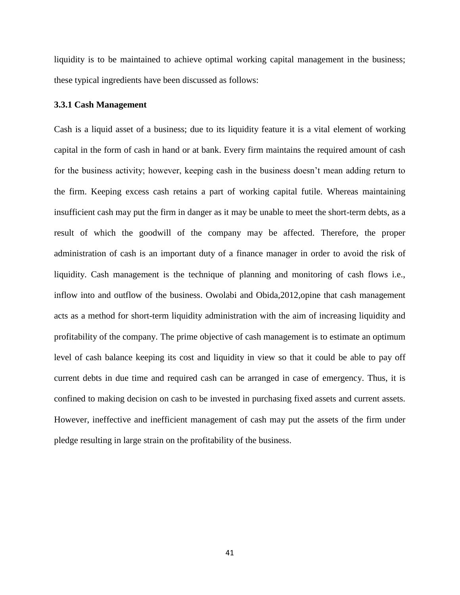liquidity is to be maintained to achieve optimal working capital management in the business; these typical ingredients have been discussed as follows:

### **3.3.1 Cash Management**

Cash is a liquid asset of a business; due to its liquidity feature it is a vital element of working capital in the form of cash in hand or at bank. Every firm maintains the required amount of cash for the business activity; however, keeping cash in the business doesn't mean adding return to the firm. Keeping excess cash retains a part of working capital futile. Whereas maintaining insufficient cash may put the firm in danger as it may be unable to meet the short-term debts, as a result of which the goodwill of the company may be affected. Therefore, the proper administration of cash is an important duty of a finance manager in order to avoid the risk of liquidity. Cash management is the technique of planning and monitoring of cash flows i.e., inflow into and outflow of the business. Owolabi and Obida,2012,opine that cash management acts as a method for short-term liquidity administration with the aim of increasing liquidity and profitability of the company. The prime objective of cash management is to estimate an optimum level of cash balance keeping its cost and liquidity in view so that it could be able to pay off current debts in due time and required cash can be arranged in case of emergency. Thus, it is confined to making decision on cash to be invested in purchasing fixed assets and current assets. However, ineffective and inefficient management of cash may put the assets of the firm under pledge resulting in large strain on the profitability of the business.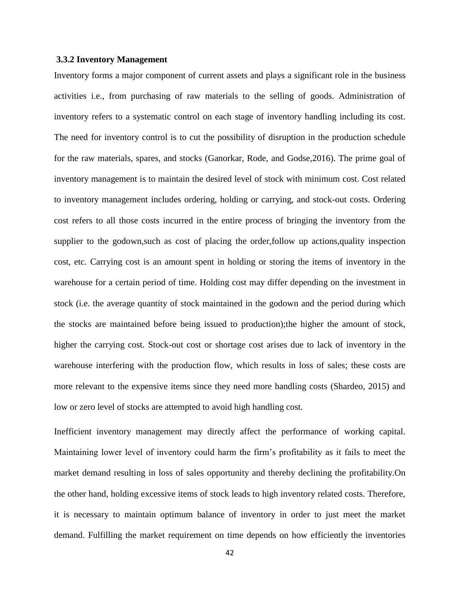### **3.3.2 Inventory Management**

Inventory forms a major component of current assets and plays a significant role in the business activities i.e., from purchasing of raw materials to the selling of goods. Administration of inventory refers to a systematic control on each stage of inventory handling including its cost. The need for inventory control is to cut the possibility of disruption in the production schedule for the raw materials, spares, and stocks (Ganorkar, Rode, and Godse,2016). The prime goal of inventory management is to maintain the desired level of stock with minimum cost. Cost related to inventory management includes ordering, holding or carrying, and stock-out costs. Ordering cost refers to all those costs incurred in the entire process of bringing the inventory from the supplier to the godown,such as cost of placing the order,follow up actions,quality inspection cost, etc. Carrying cost is an amount spent in holding or storing the items of inventory in the warehouse for a certain period of time. Holding cost may differ depending on the investment in stock (i.e. the average quantity of stock maintained in the godown and the period during which the stocks are maintained before being issued to production);the higher the amount of stock, higher the carrying cost. Stock-out cost or shortage cost arises due to lack of inventory in the warehouse interfering with the production flow, which results in loss of sales; these costs are more relevant to the expensive items since they need more handling costs (Shardeo, 2015) and low or zero level of stocks are attempted to avoid high handling cost.

Inefficient inventory management may directly affect the performance of working capital. Maintaining lower level of inventory could harm the firm's profitability as it fails to meet the market demand resulting in loss of sales opportunity and thereby declining the profitability.On the other hand, holding excessive items of stock leads to high inventory related costs. Therefore, it is necessary to maintain optimum balance of inventory in order to just meet the market demand. Fulfilling the market requirement on time depends on how efficiently the inventories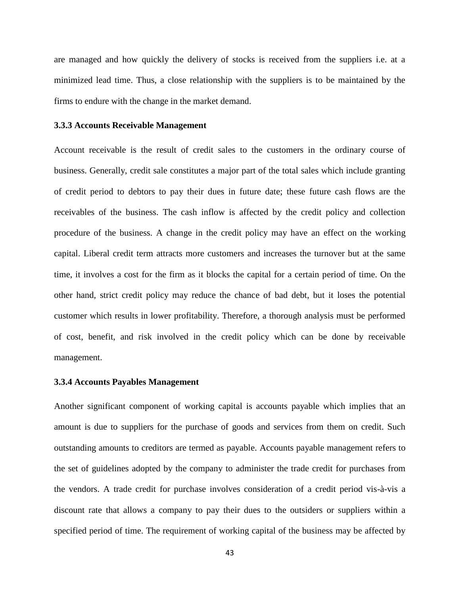are managed and how quickly the delivery of stocks is received from the suppliers i.e. at a minimized lead time. Thus, a close relationship with the suppliers is to be maintained by the firms to endure with the change in the market demand.

### **3.3.3 Accounts Receivable Management**

Account receivable is the result of credit sales to the customers in the ordinary course of business. Generally, credit sale constitutes a major part of the total sales which include granting of credit period to debtors to pay their dues in future date; these future cash flows are the receivables of the business. The cash inflow is affected by the credit policy and collection procedure of the business. A change in the credit policy may have an effect on the working capital. Liberal credit term attracts more customers and increases the turnover but at the same time, it involves a cost for the firm as it blocks the capital for a certain period of time. On the other hand, strict credit policy may reduce the chance of bad debt, but it loses the potential customer which results in lower profitability. Therefore, a thorough analysis must be performed of cost, benefit, and risk involved in the credit policy which can be done by receivable management.

## **3.3.4 Accounts Payables Management**

Another significant component of working capital is accounts payable which implies that an amount is due to suppliers for the purchase of goods and services from them on credit. Such outstanding amounts to creditors are termed as payable. Accounts payable management refers to the set of guidelines adopted by the company to administer the trade credit for purchases from the vendors. A trade credit for purchase involves consideration of a credit period vis-à-vis a discount rate that allows a company to pay their dues to the outsiders or suppliers within a specified period of time. The requirement of working capital of the business may be affected by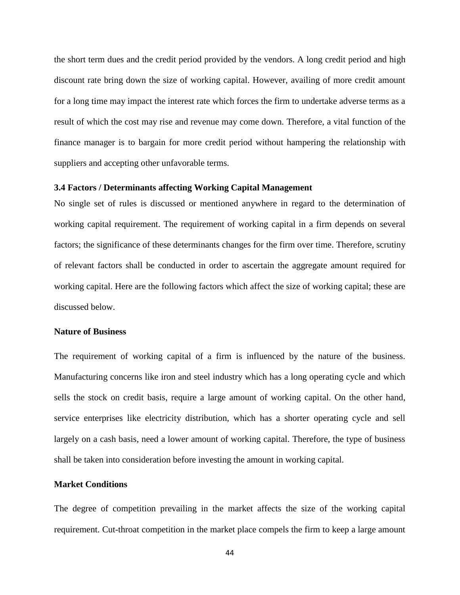the short term dues and the credit period provided by the vendors. A long credit period and high discount rate bring down the size of working capital. However, availing of more credit amount for a long time may impact the interest rate which forces the firm to undertake adverse terms as a result of which the cost may rise and revenue may come down. Therefore, a vital function of the finance manager is to bargain for more credit period without hampering the relationship with suppliers and accepting other unfavorable terms.

# **3.4 Factors / Determinants affecting Working Capital Management**

No single set of rules is discussed or mentioned anywhere in regard to the determination of working capital requirement. The requirement of working capital in a firm depends on several factors; the significance of these determinants changes for the firm over time. Therefore, scrutiny of relevant factors shall be conducted in order to ascertain the aggregate amount required for working capital. Here are the following factors which affect the size of working capital; these are discussed below.

#### **Nature of Business**

The requirement of working capital of a firm is influenced by the nature of the business. Manufacturing concerns like iron and steel industry which has a long operating cycle and which sells the stock on credit basis, require a large amount of working capital. On the other hand, service enterprises like electricity distribution, which has a shorter operating cycle and sell largely on a cash basis, need a lower amount of working capital. Therefore, the type of business shall be taken into consideration before investing the amount in working capital.

# **Market Conditions**

The degree of competition prevailing in the market affects the size of the working capital requirement. Cut-throat competition in the market place compels the firm to keep a large amount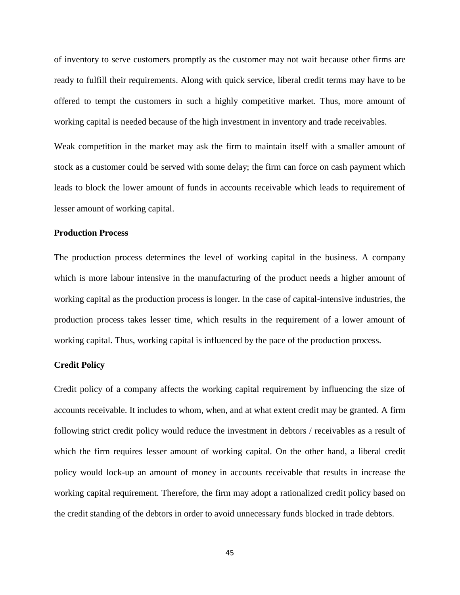of inventory to serve customers promptly as the customer may not wait because other firms are ready to fulfill their requirements. Along with quick service, liberal credit terms may have to be offered to tempt the customers in such a highly competitive market. Thus, more amount of working capital is needed because of the high investment in inventory and trade receivables.

Weak competition in the market may ask the firm to maintain itself with a smaller amount of stock as a customer could be served with some delay; the firm can force on cash payment which leads to block the lower amount of funds in accounts receivable which leads to requirement of lesser amount of working capital.

### **Production Process**

The production process determines the level of working capital in the business. A company which is more labour intensive in the manufacturing of the product needs a higher amount of working capital as the production process is longer. In the case of capital-intensive industries, the production process takes lesser time, which results in the requirement of a lower amount of working capital. Thus, working capital is influenced by the pace of the production process.

## **Credit Policy**

Credit policy of a company affects the working capital requirement by influencing the size of accounts receivable. It includes to whom, when, and at what extent credit may be granted. A firm following strict credit policy would reduce the investment in debtors / receivables as a result of which the firm requires lesser amount of working capital. On the other hand, a liberal credit policy would lock-up an amount of money in accounts receivable that results in increase the working capital requirement. Therefore, the firm may adopt a rationalized credit policy based on the credit standing of the debtors in order to avoid unnecessary funds blocked in trade debtors.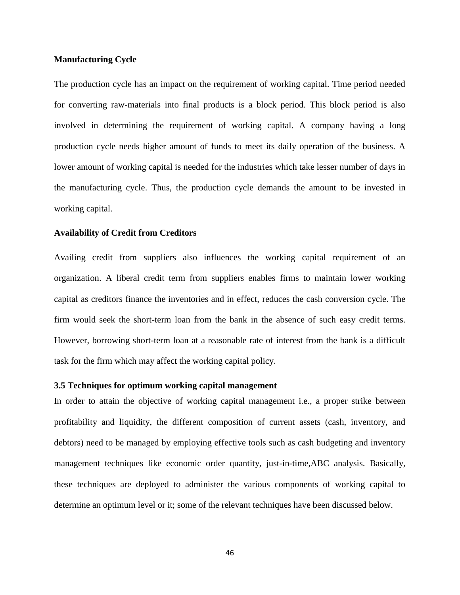# **Manufacturing Cycle**

The production cycle has an impact on the requirement of working capital. Time period needed for converting raw-materials into final products is a block period. This block period is also involved in determining the requirement of working capital. A company having a long production cycle needs higher amount of funds to meet its daily operation of the business. A lower amount of working capital is needed for the industries which take lesser number of days in the manufacturing cycle. Thus, the production cycle demands the amount to be invested in working capital.

## **Availability of Credit from Creditors**

Availing credit from suppliers also influences the working capital requirement of an organization. A liberal credit term from suppliers enables firms to maintain lower working capital as creditors finance the inventories and in effect, reduces the cash conversion cycle. The firm would seek the short-term loan from the bank in the absence of such easy credit terms. However, borrowing short-term loan at a reasonable rate of interest from the bank is a difficult task for the firm which may affect the working capital policy.

# **3.5 Techniques for optimum working capital management**

In order to attain the objective of working capital management i.e., a proper strike between profitability and liquidity, the different composition of current assets (cash, inventory, and debtors) need to be managed by employing effective tools such as cash budgeting and inventory management techniques like economic order quantity, just-in-time,ABC analysis. Basically, these techniques are deployed to administer the various components of working capital to determine an optimum level or it; some of the relevant techniques have been discussed below.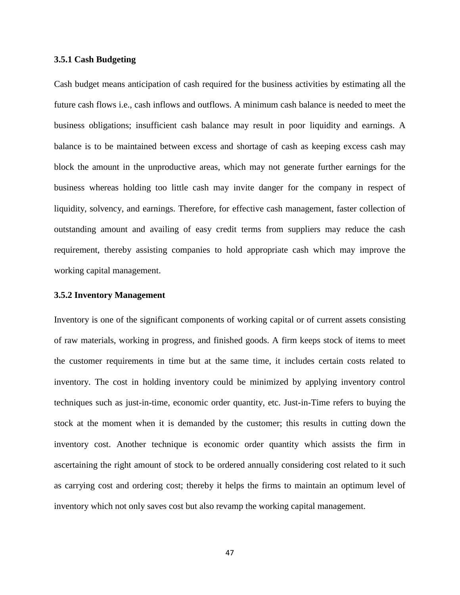### **3.5.1 Cash Budgeting**

Cash budget means anticipation of cash required for the business activities by estimating all the future cash flows i.e., cash inflows and outflows. A minimum cash balance is needed to meet the business obligations; insufficient cash balance may result in poor liquidity and earnings. A balance is to be maintained between excess and shortage of cash as keeping excess cash may block the amount in the unproductive areas, which may not generate further earnings for the business whereas holding too little cash may invite danger for the company in respect of liquidity, solvency, and earnings. Therefore, for effective cash management, faster collection of outstanding amount and availing of easy credit terms from suppliers may reduce the cash requirement, thereby assisting companies to hold appropriate cash which may improve the working capital management.

### **3.5.2 Inventory Management**

Inventory is one of the significant components of working capital or of current assets consisting of raw materials, working in progress, and finished goods. A firm keeps stock of items to meet the customer requirements in time but at the same time, it includes certain costs related to inventory. The cost in holding inventory could be minimized by applying inventory control techniques such as just-in-time, economic order quantity, etc. Just-in-Time refers to buying the stock at the moment when it is demanded by the customer; this results in cutting down the inventory cost. Another technique is economic order quantity which assists the firm in ascertaining the right amount of stock to be ordered annually considering cost related to it such as carrying cost and ordering cost; thereby it helps the firms to maintain an optimum level of inventory which not only saves cost but also revamp the working capital management.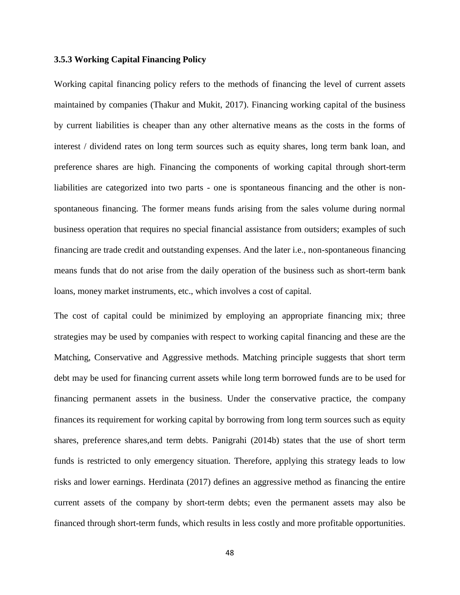### **3.5.3 Working Capital Financing Policy**

Working capital financing policy refers to the methods of financing the level of current assets maintained by companies (Thakur and Mukit, 2017). Financing working capital of the business by current liabilities is cheaper than any other alternative means as the costs in the forms of interest / dividend rates on long term sources such as equity shares, long term bank loan, and preference shares are high. Financing the components of working capital through short-term liabilities are categorized into two parts - one is spontaneous financing and the other is nonspontaneous financing. The former means funds arising from the sales volume during normal business operation that requires no special financial assistance from outsiders; examples of such financing are trade credit and outstanding expenses. And the later i.e., non-spontaneous financing means funds that do not arise from the daily operation of the business such as short-term bank loans, money market instruments, etc., which involves a cost of capital.

The cost of capital could be minimized by employing an appropriate financing mix; three strategies may be used by companies with respect to working capital financing and these are the Matching, Conservative and Aggressive methods. Matching principle suggests that short term debt may be used for financing current assets while long term borrowed funds are to be used for financing permanent assets in the business. Under the conservative practice, the company finances its requirement for working capital by borrowing from long term sources such as equity shares, preference shares,and term debts. Panigrahi (2014b) states that the use of short term funds is restricted to only emergency situation. Therefore, applying this strategy leads to low risks and lower earnings. Herdinata (2017) defines an aggressive method as financing the entire current assets of the company by short-term debts; even the permanent assets may also be financed through short-term funds, which results in less costly and more profitable opportunities.